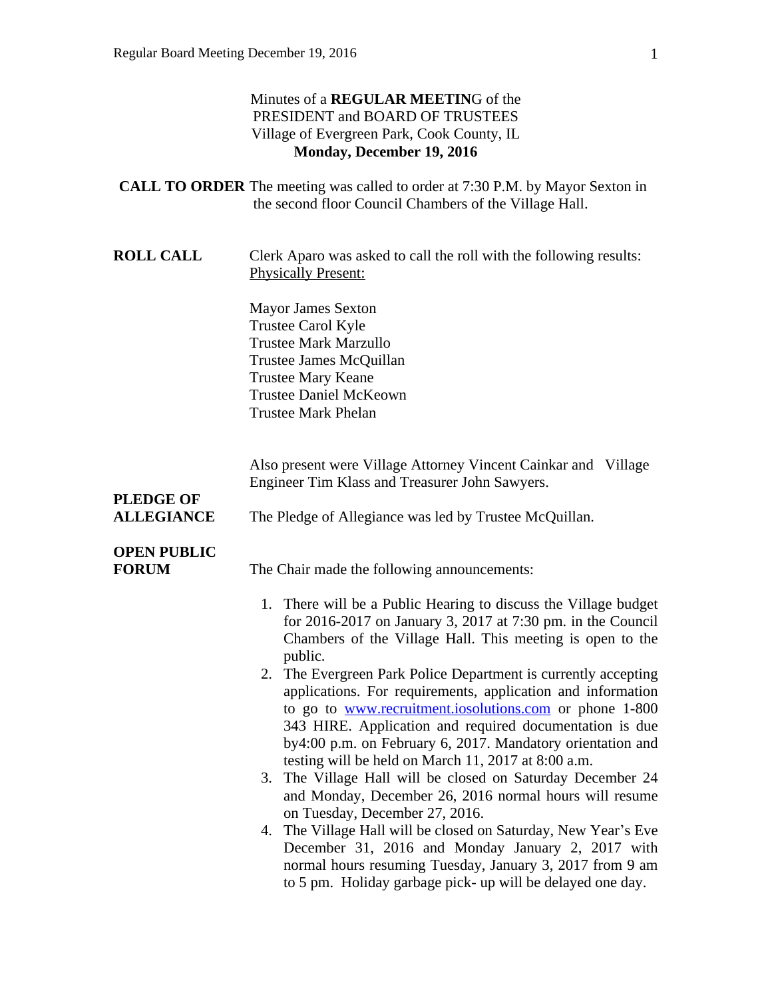### Minutes of a **REGULAR MEETIN**G of the PRESIDENT and BOARD OF TRUSTEES Village of Evergreen Park, Cook County, IL **Monday, December 19, 2016 CALL TO ORDER** The meeting was called to order at 7:30 P.M. by Mayor Sexton in the second floor Council Chambers of the Village Hall. **ROLL CALL** Clerk Aparo was asked to call the roll with the following results: Physically Present: Mayor James Sexton Trustee Carol Kyle Trustee Mark Marzullo Trustee James McQuillan Trustee Mary Keane Trustee Daniel McKeown Trustee Mark Phelan Also present were Village Attorney Vincent Cainkar and Village Engineer Tim Klass and Treasurer John Sawyers. **PLEDGE OF ALLEGIANCE** The Pledge of Allegiance was led by Trustee McQuillan. **OPEN PUBLIC FORUM** The Chair made the following announcements: 1. There will be a Public Hearing to discuss the Village budget for 2016-2017 on January 3, 2017 at 7:30 pm. in the Council Chambers of the Village Hall. This meeting is open to the public. 2. The Evergreen Park Police Department is currently accepting applications. For requirements, application and information to go to [www.recruitment.iosolutions.com](http://www.recruitment.iosolutions.com) or phone 1-800 343 HIRE. Application and required documentation is due by4:00 p.m. on February 6, 2017. Mandatory orientation and testing will be held on March 11, 2017 at 8:00 a.m. 3. The Village Hall will be closed on Saturday December 24 and Monday, December 26, 2016 normal hours will resume on Tuesday, December 27, 2016. 4. The Village Hall will be closed on Saturday, New Year's Eve December 31, 2016 and Monday January 2, 2017 with normal hours resuming Tuesday, January 3, 2017 from 9 am to 5 pm. Holiday garbage pick- up will be delayed one day.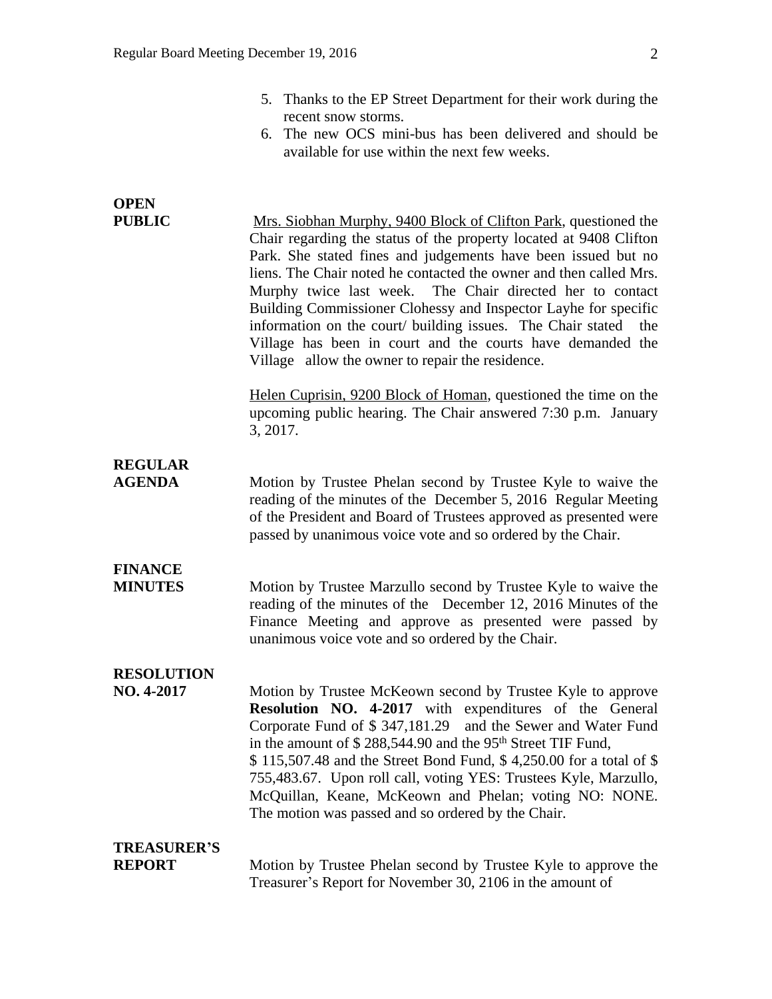- 5. Thanks to the EP Street Department for their work during the recent snow storms.
- 6. The new OCS mini-bus has been delivered and should be available for use within the next few weeks.

| <b>OPEN</b>                         |                                                                                                                                                                                                                                                                                                                                                                                                                                                                                                                                                                                                   |
|-------------------------------------|---------------------------------------------------------------------------------------------------------------------------------------------------------------------------------------------------------------------------------------------------------------------------------------------------------------------------------------------------------------------------------------------------------------------------------------------------------------------------------------------------------------------------------------------------------------------------------------------------|
| <b>PUBLIC</b>                       | Mrs. Siobhan Murphy, 9400 Block of Clifton Park, questioned the<br>Chair regarding the status of the property located at 9408 Clifton<br>Park. She stated fines and judgements have been issued but no<br>liens. The Chair noted he contacted the owner and then called Mrs.<br>Murphy twice last week. The Chair directed her to contact<br>Building Commissioner Clohessy and Inspector Layhe for specific<br>information on the court/ building issues. The Chair stated the<br>Village has been in court and the courts have demanded the<br>Village allow the owner to repair the residence. |
|                                     | Helen Cuprisin, 9200 Block of Homan, questioned the time on the<br>upcoming public hearing. The Chair answered 7:30 p.m. January<br>3, 2017.                                                                                                                                                                                                                                                                                                                                                                                                                                                      |
| <b>REGULAR</b><br><b>AGENDA</b>     | Motion by Trustee Phelan second by Trustee Kyle to waive the<br>reading of the minutes of the December 5, 2016 Regular Meeting<br>of the President and Board of Trustees approved as presented were<br>passed by unanimous voice vote and so ordered by the Chair.                                                                                                                                                                                                                                                                                                                                |
| <b>FINANCE</b><br><b>MINUTES</b>    | Motion by Trustee Marzullo second by Trustee Kyle to waive the<br>reading of the minutes of the December 12, 2016 Minutes of the<br>Finance Meeting and approve as presented were passed by<br>unanimous voice vote and so ordered by the Chair.                                                                                                                                                                                                                                                                                                                                                  |
| <b>RESOLUTION</b><br>NO. 4-2017     | Motion by Trustee McKeown second by Trustee Kyle to approve<br>Resolution NO. 4-2017 with expenditures of the General<br>Corporate Fund of \$347,181.29 and the Sewer and Water Fund<br>in the amount of \$288,544.90 and the 95 <sup>th</sup> Street TIF Fund,<br>\$115,507.48 and the Street Bond Fund, \$4,250.00 for a total of \$<br>755,483.67. Upon roll call, voting YES: Trustees Kyle, Marzullo,<br>McQuillan, Keane, McKeown and Phelan; voting NO: NONE.<br>The motion was passed and so ordered by the Chair.                                                                        |
| <b>TREASURER'S</b><br><b>REPORT</b> | Motion by Trustee Phelan second by Trustee Kyle to approve the<br>Treasurer's Report for November 30, 2106 in the amount of                                                                                                                                                                                                                                                                                                                                                                                                                                                                       |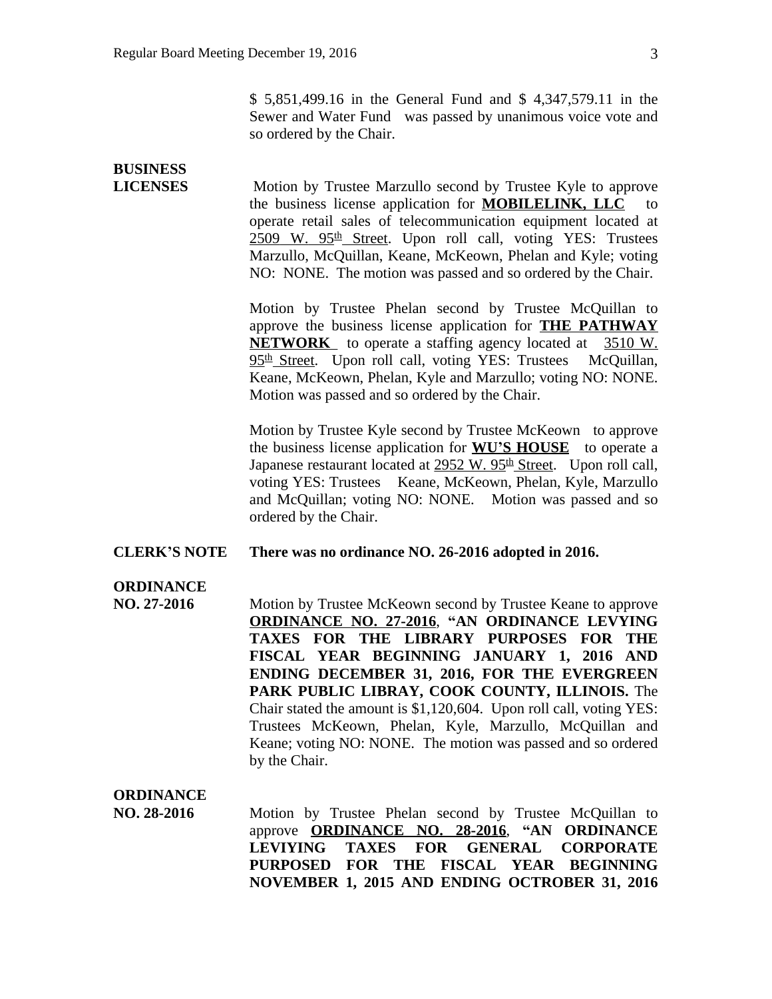\$ 5,851,499.16 in the General Fund and \$ 4,347,579.11 in the Sewer and Water Fund was passed by unanimous voice vote and so ordered by the Chair.

# **BUSINESS**

**LICENSES** Motion by Trustee Marzullo second by Trustee Kyle to approve the business license application for **MOBILELINK, LLC** to operate retail sales of telecommunication equipment located at 2509 W. 95<sup>th</sup> Street. Upon roll call, voting YES: Trustees Marzullo, McQuillan, Keane, McKeown, Phelan and Kyle; voting NO: NONE. The motion was passed and so ordered by the Chair.

> Motion by Trustee Phelan second by Trustee McQuillan to approve the business license application for **THE PATHWAY NETWORK** to operate a staffing agency located at 3510 W. 95<sup>th</sup> Street. Upon roll call, voting YES: Trustees McQuillan, Keane, McKeown, Phelan, Kyle and Marzullo; voting NO: NONE. Motion was passed and so ordered by the Chair.

> Motion by Trustee Kyle second by Trustee McKeown to approve the business license application for **WU'S HOUSE** to operate a Japanese restaurant located at 2952 W. 95<sup>th</sup> Street. Upon roll call, voting YES: Trustees Keane, McKeown, Phelan, Kyle, Marzullo and McQuillan; voting NO: NONE. Motion was passed and so ordered by the Chair.

**CLERK'S NOTE There was no ordinance NO. 26-2016 adopted in 2016.**

#### **ORDINANCE**

**NO. 27-2016** Motion by Trustee McKeown second by Trustee Keane to approve **ORDINANCE NO. 27-2016**, **"AN ORDINANCE LEVYING TAXES FOR THE LIBRARY PURPOSES FOR THE FISCAL YEAR BEGINNING JANUARY 1, 2016 AND ENDING DECEMBER 31, 2016, FOR THE EVERGREEN PARK PUBLIC LIBRAY, COOK COUNTY, ILLINOIS.** The Chair stated the amount is \$1,120,604. Upon roll call, voting YES: Trustees McKeown, Phelan, Kyle, Marzullo, McQuillan and Keane; voting NO: NONE. The motion was passed and so ordered by the Chair.

#### **ORDINANCE**

**NO. 28-2016** Motion by Trustee Phelan second by Trustee McQuillan to approve **ORDINANCE NO. 28-2016**, **"AN ORDINANCE LEVIYING TAXES FOR GENERAL CORPORATE PURPOSED FOR THE FISCAL YEAR BEGINNING NOVEMBER 1, 2015 AND ENDING OCTROBER 31, 2016**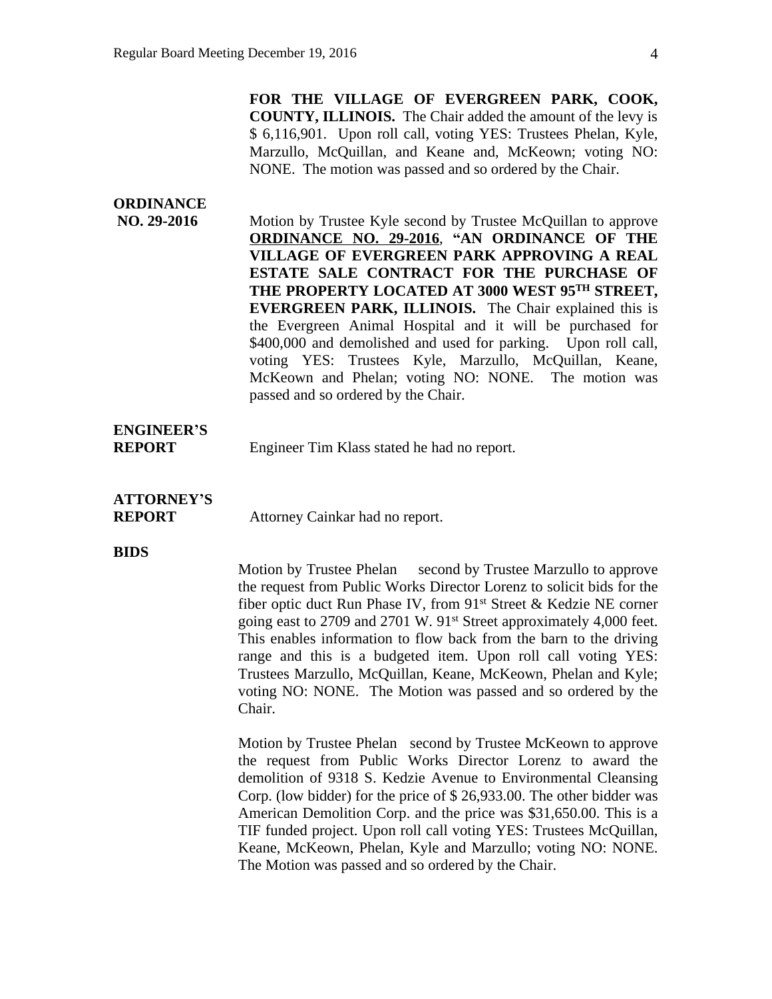**FOR THE VILLAGE OF EVERGREEN PARK, COOK, COUNTY, ILLINOIS.** The Chair added the amount of the levy is \$ 6,116,901. Upon roll call, voting YES: Trustees Phelan, Kyle, Marzullo, McQuillan, and Keane and, McKeown; voting NO: NONE. The motion was passed and so ordered by the Chair. **ORDINANCE NO. 29-2016** Motion by Trustee Kyle second by Trustee McQuillan to approve **ORDINANCE NO. 29-2016**, **"AN ORDINANCE OF THE VILLAGE OF EVERGREEN PARK APPROVING A REAL ESTATE SALE CONTRACT FOR THE PURCHASE OF THE PROPERTY LOCATED AT 3000 WEST 95TH STREET, EVERGREEN PARK, ILLINOIS.** The Chair explained this is the Evergreen Animal Hospital and it will be purchased for \$400,000 and demolished and used for parking. Upon roll call, voting YES: Trustees Kyle, Marzullo, McQuillan, Keane, McKeown and Phelan; voting NO: NONE. The motion was passed and so ordered by the Chair. **ENGINEER'S REPORT** Engineer Tim Klass stated he had no report. **ATTORNEY'S**

**REPORT** Attorney Cainkar had no report.

#### **BIDS**

Motion by Trustee Phelan second by Trustee Marzullo to approve the request from Public Works Director Lorenz to solicit bids for the fiber optic duct Run Phase IV, from 91st Street & Kedzie NE corner going east to 2709 and 2701 W. 91st Street approximately 4,000 feet. This enables information to flow back from the barn to the driving range and this is a budgeted item. Upon roll call voting YES: Trustees Marzullo, McQuillan, Keane, McKeown, Phelan and Kyle; voting NO: NONE. The Motion was passed and so ordered by the Chair.

Motion by Trustee Phelan second by Trustee McKeown to approve the request from Public Works Director Lorenz to award the demolition of 9318 S. Kedzie Avenue to Environmental Cleansing Corp. (low bidder) for the price of \$ 26,933.00. The other bidder was American Demolition Corp. and the price was \$31,650.00. This is a TIF funded project. Upon roll call voting YES: Trustees McQuillan, Keane, McKeown, Phelan, Kyle and Marzullo; voting NO: NONE. The Motion was passed and so ordered by the Chair.